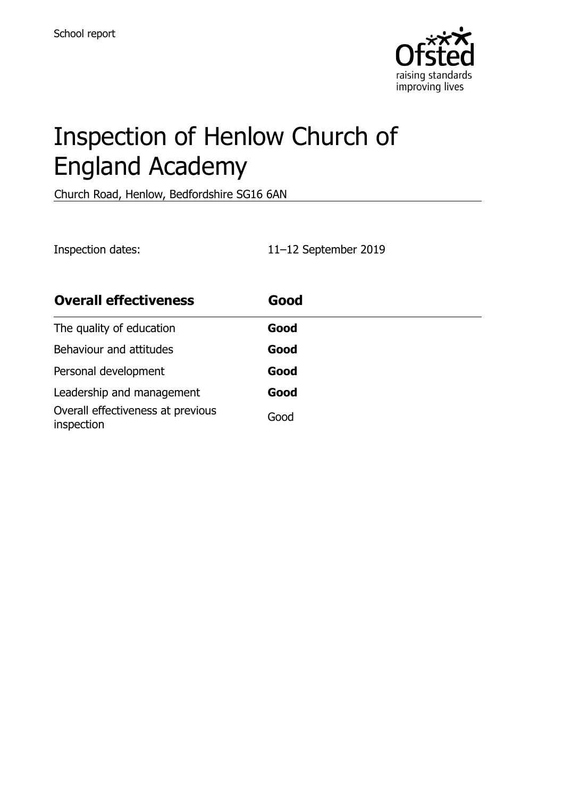

# Inspection of Henlow Church of England Academy

Church Road, Henlow, Bedfordshire SG16 6AN

Inspection dates: 11–12 September 2019

| <b>Overall effectiveness</b>                    | Good |
|-------------------------------------------------|------|
| The quality of education                        | Good |
| Behaviour and attitudes                         | Good |
| Personal development                            | Good |
| Leadership and management                       | Good |
| Overall effectiveness at previous<br>inspection | Good |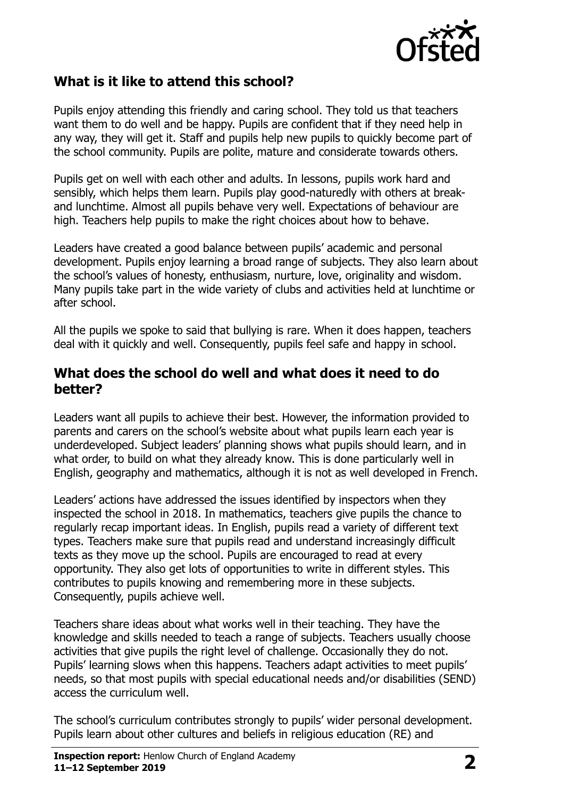

## **What is it like to attend this school?**

Pupils enjoy attending this friendly and caring school. They told us that teachers want them to do well and be happy. Pupils are confident that if they need help in any way, they will get it. Staff and pupils help new pupils to quickly become part of the school community. Pupils are polite, mature and considerate towards others.

Pupils get on well with each other and adults. In lessons, pupils work hard and sensibly, which helps them learn. Pupils play good-naturedly with others at breakand lunchtime. Almost all pupils behave very well. Expectations of behaviour are high. Teachers help pupils to make the right choices about how to behave.

Leaders have created a good balance between pupils' academic and personal development. Pupils enjoy learning a broad range of subjects. They also learn about the school's values of honesty, enthusiasm, nurture, love, originality and wisdom. Many pupils take part in the wide variety of clubs and activities held at lunchtime or after school.

All the pupils we spoke to said that bullying is rare. When it does happen, teachers deal with it quickly and well. Consequently, pupils feel safe and happy in school.

#### **What does the school do well and what does it need to do better?**

Leaders want all pupils to achieve their best. However, the information provided to parents and carers on the school's website about what pupils learn each year is underdeveloped. Subject leaders' planning shows what pupils should learn, and in what order, to build on what they already know. This is done particularly well in English, geography and mathematics, although it is not as well developed in French.

Leaders' actions have addressed the issues identified by inspectors when they inspected the school in 2018. In mathematics, teachers give pupils the chance to regularly recap important ideas. In English, pupils read a variety of different text types. Teachers make sure that pupils read and understand increasingly difficult texts as they move up the school. Pupils are encouraged to read at every opportunity. They also get lots of opportunities to write in different styles. This contributes to pupils knowing and remembering more in these subjects. Consequently, pupils achieve well.

Teachers share ideas about what works well in their teaching. They have the knowledge and skills needed to teach a range of subjects. Teachers usually choose activities that give pupils the right level of challenge. Occasionally they do not. Pupils' learning slows when this happens. Teachers adapt activities to meet pupils' needs, so that most pupils with special educational needs and/or disabilities (SEND) access the curriculum well.

The school's curriculum contributes strongly to pupils' wider personal development. Pupils learn about other cultures and beliefs in religious education (RE) and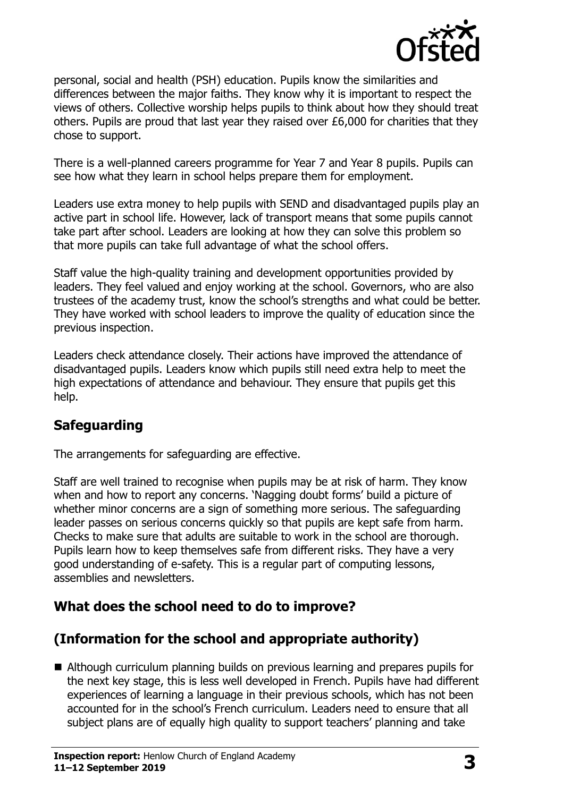

personal, social and health (PSH) education. Pupils know the similarities and differences between the major faiths. They know why it is important to respect the views of others. Collective worship helps pupils to think about how they should treat others. Pupils are proud that last year they raised over £6,000 for charities that they chose to support.

There is a well-planned careers programme for Year 7 and Year 8 pupils. Pupils can see how what they learn in school helps prepare them for employment.

Leaders use extra money to help pupils with SEND and disadvantaged pupils play an active part in school life. However, lack of transport means that some pupils cannot take part after school. Leaders are looking at how they can solve this problem so that more pupils can take full advantage of what the school offers.

Staff value the high-quality training and development opportunities provided by leaders. They feel valued and enjoy working at the school. Governors, who are also trustees of the academy trust, know the school's strengths and what could be better. They have worked with school leaders to improve the quality of education since the previous inspection.

Leaders check attendance closely. Their actions have improved the attendance of disadvantaged pupils. Leaders know which pupils still need extra help to meet the high expectations of attendance and behaviour. They ensure that pupils get this help.

## **Safeguarding**

The arrangements for safeguarding are effective.

Staff are well trained to recognise when pupils may be at risk of harm. They know when and how to report any concerns. 'Nagging doubt forms' build a picture of whether minor concerns are a sign of something more serious. The safeguarding leader passes on serious concerns quickly so that pupils are kept safe from harm. Checks to make sure that adults are suitable to work in the school are thorough. Pupils learn how to keep themselves safe from different risks. They have a very good understanding of e-safety. This is a regular part of computing lessons, assemblies and newsletters.

## **What does the school need to do to improve?**

## **(Information for the school and appropriate authority)**

 Although curriculum planning builds on previous learning and prepares pupils for the next key stage, this is less well developed in French. Pupils have had different experiences of learning a language in their previous schools, which has not been accounted for in the school's French curriculum. Leaders need to ensure that all subject plans are of equally high quality to support teachers' planning and take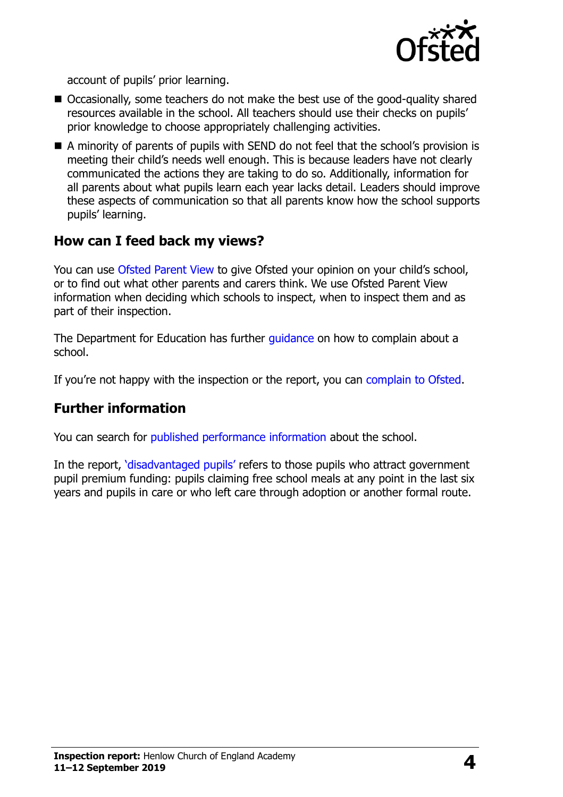

account of pupils' prior learning.

- Occasionally, some teachers do not make the best use of the good-quality shared resources available in the school. All teachers should use their checks on pupils' prior knowledge to choose appropriately challenging activities.
- A minority of parents of pupils with SEND do not feel that the school's provision is meeting their child's needs well enough. This is because leaders have not clearly communicated the actions they are taking to do so. Additionally, information for all parents about what pupils learn each year lacks detail. Leaders should improve these aspects of communication so that all parents know how the school supports pupils' learning.

#### **How can I feed back my views?**

You can use [Ofsted Parent View](http://parentview.ofsted.gov.uk/) to give Ofsted your opinion on your child's school, or to find out what other parents and carers think. We use Ofsted Parent View information when deciding which schools to inspect, when to inspect them and as part of their inspection.

The Department for Education has further quidance on how to complain about a school.

If you're not happy with the inspection or the report, you can [complain to Ofsted.](http://www.gov.uk/complain-ofsted-report)

#### **Further information**

You can search for [published performance information](http://www.compare-school-performance.service.gov.uk/) about the school.

In the report, '[disadvantaged pupils](http://www.gov.uk/guidance/pupil-premium-information-for-schools-and-alternative-provision-settings)' refers to those pupils who attract government pupil premium funding: pupils claiming free school meals at any point in the last six years and pupils in care or who left care through adoption or another formal route.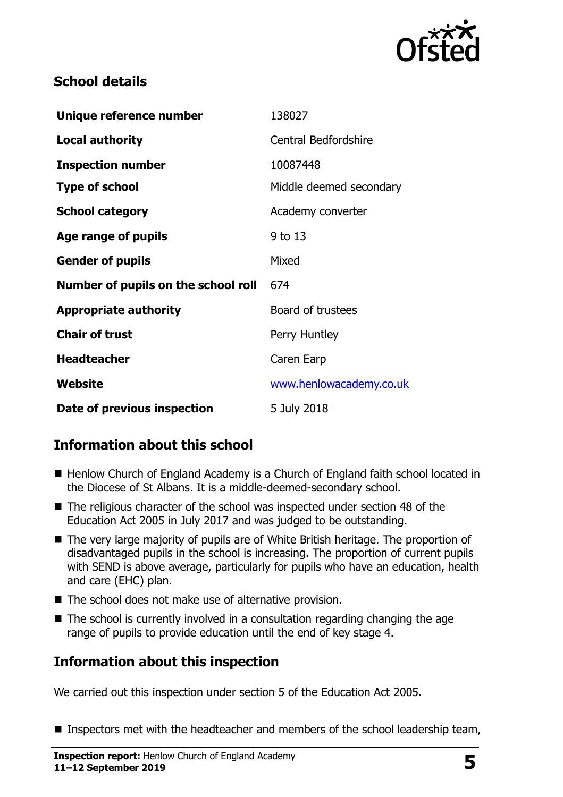

## **School details**

| Unique reference number             | 138027                      |
|-------------------------------------|-----------------------------|
| <b>Local authority</b>              | <b>Central Bedfordshire</b> |
| <b>Inspection number</b>            | 10087448                    |
| <b>Type of school</b>               | Middle deemed secondary     |
| <b>School category</b>              | Academy converter           |
| Age range of pupils                 | 9 to 13                     |
| <b>Gender of pupils</b>             | Mixed                       |
| Number of pupils on the school roll | 674                         |
| <b>Appropriate authority</b>        | Board of trustees           |
| <b>Chair of trust</b>               | Perry Huntley               |
| <b>Headteacher</b>                  | Caren Earp                  |
| Website                             | www.henlowacademy.co.uk     |
| Date of previous inspection         | 5 July 2018                 |

## **Information about this school**

- Henlow Church of England Academy is a Church of England faith school located in the Diocese of St Albans. It is a middle-deemed-secondary school.
- The religious character of the school was inspected under section 48 of the Education Act 2005 in July 2017 and was judged to be outstanding.
- The very large majority of pupils are of White British heritage. The proportion of disadvantaged pupils in the school is increasing. The proportion of current pupils with SEND is above average, particularly for pupils who have an education, health and care (EHC) plan.
- The school does not make use of alternative provision.
- The school is currently involved in a consultation regarding changing the age range of pupils to provide education until the end of key stage 4.

## **Information about this inspection**

We carried out this inspection under section 5 of the Education Act 2005.

**Inspectors met with the headteacher and members of the school leadership team,**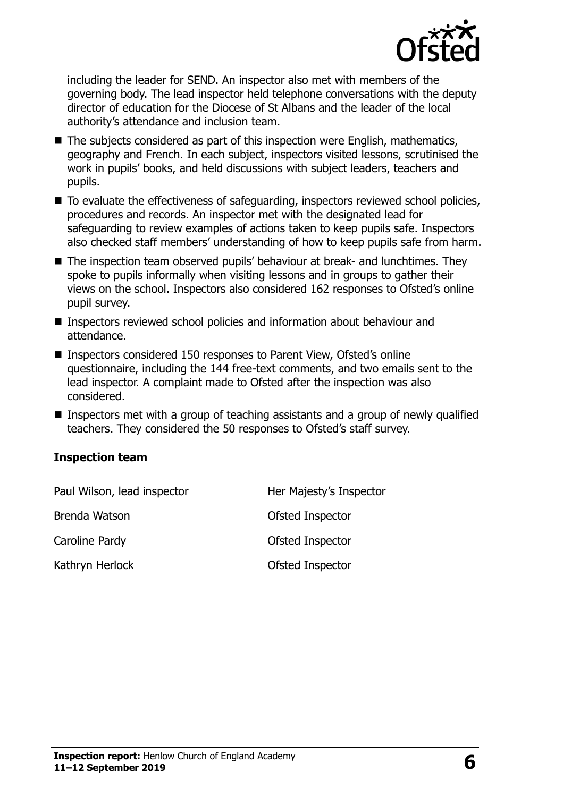

including the leader for SEND. An inspector also met with members of the governing body. The lead inspector held telephone conversations with the deputy director of education for the Diocese of St Albans and the leader of the local authority's attendance and inclusion team.

- The subjects considered as part of this inspection were English, mathematics, geography and French. In each subject, inspectors visited lessons, scrutinised the work in pupils' books, and held discussions with subject leaders, teachers and pupils.
- $\blacksquare$  To evaluate the effectiveness of safeguarding, inspectors reviewed school policies, procedures and records. An inspector met with the designated lead for safeguarding to review examples of actions taken to keep pupils safe. Inspectors also checked staff members' understanding of how to keep pupils safe from harm.
- The inspection team observed pupils' behaviour at break- and lunchtimes. They spoke to pupils informally when visiting lessons and in groups to gather their views on the school. Inspectors also considered 162 responses to Ofsted's online pupil survey.
- Inspectors reviewed school policies and information about behaviour and attendance.
- Inspectors considered 150 responses to Parent View, Ofsted's online questionnaire, including the 144 free-text comments, and two emails sent to the lead inspector. A complaint made to Ofsted after the inspection was also considered.
- Inspectors met with a group of teaching assistants and a group of newly qualified teachers. They considered the 50 responses to Ofsted's staff survey.

#### **Inspection team**

| Paul Wilson, lead inspector | Her Majesty's Inspector |
|-----------------------------|-------------------------|
| Brenda Watson               | Ofsted Inspector        |
| Caroline Pardy              | Ofsted Inspector        |
| Kathryn Herlock             | Ofsted Inspector        |